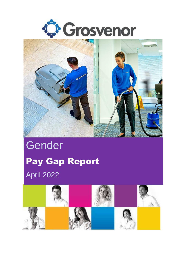



## **Gender** Pay Gap Report April 2022

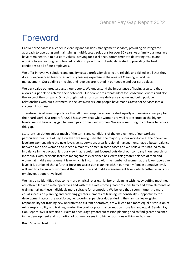## Foreword

Grosvenor Services is a leader in cleaning and facilities management services, providing an integrated approach to operating and maintaining multi-faceted solutions for over 60 years. As a family business, we have remained true to our core values - striving for excellence, commitment to delivering results and working to ensure long term trusted relationships with our clients, dedicated to providing the best conditions to all of our employees.

We offer innovative solutions and quality vetted professionals who are reliable and skilled in all that they do. Our experienced team offer industry leading expertise in the areas of Cleaning & Facilities management. Our guiding principles and ideology are rooted in our people and our core values.

We truly value our greatest asset, our people. We understand the importance of having a culture that allows our people to achieve their potential. Our people are ambassadors for Grosvenor Services and also the voice of the company. Only through their efforts can we deliver real value and build positive relationships with our customers. In the last 60 years, our people have made Grosvenor Services into a successful business.

Therefore it is of great importance that all of our employees are treated equally and receive equal pay for their hard work. Our report for 2022 has shown that while women are well represented at the higher levels, we still have a pay gap between pay for men and women. We are committing to continue to reduce this gap.

Statutory legislation guides much of the terms and conditions of the employment of our workers particularly their rate of pay. However, we recognised that the majority of our workforce at the operative level are women, while the next levels i.e. supervision, area & regional management, have a better balance between men and women and indeed a majority of men in some cases and we believe this has led to an imbalance in the pay gap. It is our view that recruitment focused outside of our company in our search for individuals with previous facilities management experience has led to this greater balance of men and women at middle management level which is in contrast with the number of women at the lower operative level. It is our belief that a further focus on succession planning within our mainly female operative level, will lead to a balance of women at the supervision and middle management levels which better reflects our employees at operative level.

We have also identified that some more physical roles e.g. janitor or cleaning with heavy buffing machines are often filled with male operatives and with these roles come greater responsibility and extra elements of training making these individuals more suitable for promotion. We believe that a commitment to more equal succession planning and providing greater elements of training, responsibility & opportunity for development across the workforce, i.e. covering supervisor duties during their annual leave, giving responsibility for training new operatives to current operatives, etc will lead to a more equal distribution of extra responsibility and training making the pool for potential promotion more fair and equal. Gender Pay Gap Report 2021 It remains our aim to encourage greater succession planning and to find greater balance in the development and promotion of our employees into higher positions within our business.

Brian Solan – Head of HR